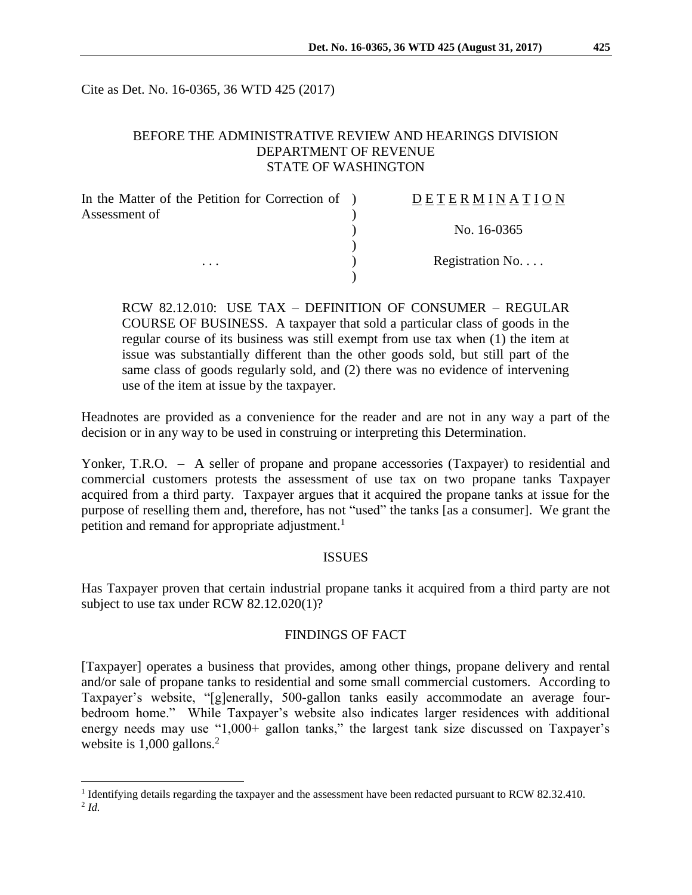Cite as Det. No. 16-0365, 36 WTD 425 (2017)

## BEFORE THE ADMINISTRATIVE REVIEW AND HEARINGS DIVISION DEPARTMENT OF REVENUE STATE OF WASHINGTON

| <b>DETERMINATION</b> |
|----------------------|
| No. 16-0365          |
|                      |
| Registration No      |
|                      |

RCW 82.12.010: USE TAX – DEFINITION OF CONSUMER – REGULAR COURSE OF BUSINESS. A taxpayer that sold a particular class of goods in the regular course of its business was still exempt from use tax when (1) the item at issue was substantially different than the other goods sold, but still part of the same class of goods regularly sold, and (2) there was no evidence of intervening use of the item at issue by the taxpayer.

Headnotes are provided as a convenience for the reader and are not in any way a part of the decision or in any way to be used in construing or interpreting this Determination.

Yonker, T.R.O. – A seller of propane and propane accessories (Taxpayer) to residential and commercial customers protests the assessment of use tax on two propane tanks Taxpayer acquired from a third party. Taxpayer argues that it acquired the propane tanks at issue for the purpose of reselling them and, therefore, has not "used" the tanks [as a consumer]. We grant the petition and remand for appropriate adjustment.<sup>1</sup>

#### ISSUES

Has Taxpayer proven that certain industrial propane tanks it acquired from a third party are not subject to use tax under RCW 82.12.020(1)?

#### FINDINGS OF FACT

[Taxpayer] operates a business that provides, among other things, propane delivery and rental and/or sale of propane tanks to residential and some small commercial customers. According to Taxpayer's website, "[g]enerally, 500-gallon tanks easily accommodate an average fourbedroom home." While Taxpayer's website also indicates larger residences with additional energy needs may use "1,000+ gallon tanks," the largest tank size discussed on Taxpayer's website is 1,000 gallons.<sup>2</sup>

 $\overline{a}$ 

<sup>&</sup>lt;sup>1</sup> Identifying details regarding the taxpayer and the assessment have been redacted pursuant to RCW 82.32.410. 2 *Id.*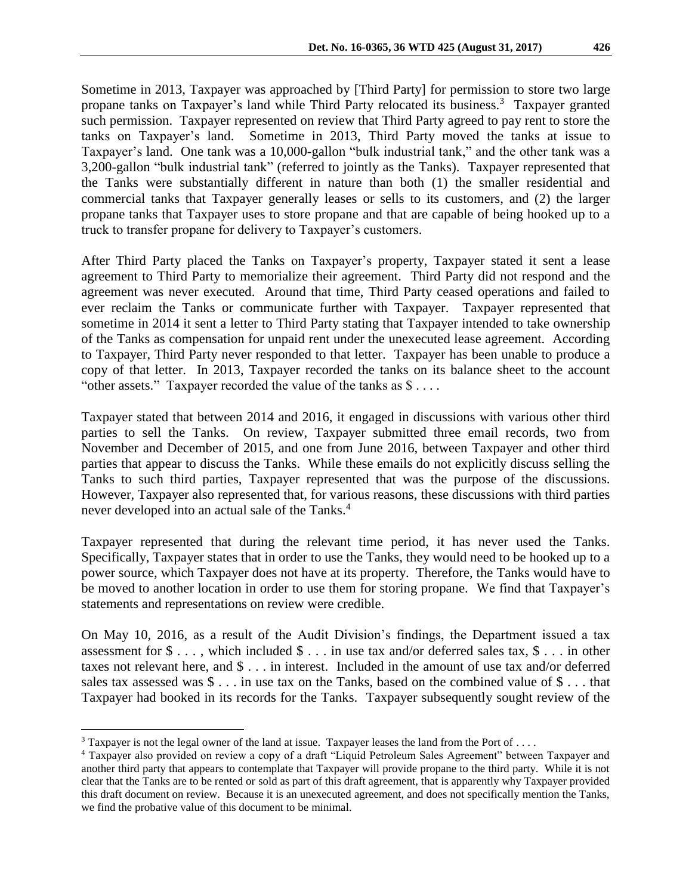Sometime in 2013, Taxpayer was approached by [Third Party] for permission to store two large propane tanks on Taxpayer's land while Third Party relocated its business.<sup>3</sup> Taxpayer granted such permission. Taxpayer represented on review that Third Party agreed to pay rent to store the tanks on Taxpayer's land. Sometime in 2013, Third Party moved the tanks at issue to Taxpayer's land. One tank was a 10,000-gallon "bulk industrial tank," and the other tank was a 3,200-gallon "bulk industrial tank" (referred to jointly as the Tanks). Taxpayer represented that the Tanks were substantially different in nature than both (1) the smaller residential and commercial tanks that Taxpayer generally leases or sells to its customers, and (2) the larger propane tanks that Taxpayer uses to store propane and that are capable of being hooked up to a truck to transfer propane for delivery to Taxpayer's customers.

After Third Party placed the Tanks on Taxpayer's property, Taxpayer stated it sent a lease agreement to Third Party to memorialize their agreement. Third Party did not respond and the agreement was never executed. Around that time, Third Party ceased operations and failed to ever reclaim the Tanks or communicate further with Taxpayer. Taxpayer represented that sometime in 2014 it sent a letter to Third Party stating that Taxpayer intended to take ownership of the Tanks as compensation for unpaid rent under the unexecuted lease agreement. According to Taxpayer, Third Party never responded to that letter. Taxpayer has been unable to produce a copy of that letter. In 2013, Taxpayer recorded the tanks on its balance sheet to the account "other assets." Taxpayer recorded the value of the tanks as \$ . . . .

Taxpayer stated that between 2014 and 2016, it engaged in discussions with various other third parties to sell the Tanks. On review, Taxpayer submitted three email records, two from November and December of 2015, and one from June 2016, between Taxpayer and other third parties that appear to discuss the Tanks. While these emails do not explicitly discuss selling the Tanks to such third parties, Taxpayer represented that was the purpose of the discussions. However, Taxpayer also represented that, for various reasons, these discussions with third parties never developed into an actual sale of the Tanks.<sup>4</sup>

Taxpayer represented that during the relevant time period, it has never used the Tanks. Specifically, Taxpayer states that in order to use the Tanks, they would need to be hooked up to a power source, which Taxpayer does not have at its property. Therefore, the Tanks would have to be moved to another location in order to use them for storing propane. We find that Taxpayer's statements and representations on review were credible.

On May 10, 2016, as a result of the Audit Division's findings, the Department issued a tax assessment for  $\$\ldots$$ , which included  $\$\ldots$$  in use tax and/or deferred sales tax,  $\$\ldots$$  in other taxes not relevant here, and \$ . . . in interest. Included in the amount of use tax and/or deferred sales tax assessed was \$ . . . in use tax on the Tanks, based on the combined value of \$ . . . that Taxpayer had booked in its records for the Tanks. Taxpayer subsequently sought review of the

 $\overline{a}$ 

<sup>&</sup>lt;sup>3</sup> Taxpayer is not the legal owner of the land at issue. Taxpayer leases the land from the Port of ....

<sup>4</sup> Taxpayer also provided on review a copy of a draft "Liquid Petroleum Sales Agreement" between Taxpayer and another third party that appears to contemplate that Taxpayer will provide propane to the third party. While it is not clear that the Tanks are to be rented or sold as part of this draft agreement, that is apparently why Taxpayer provided this draft document on review. Because it is an unexecuted agreement, and does not specifically mention the Tanks, we find the probative value of this document to be minimal.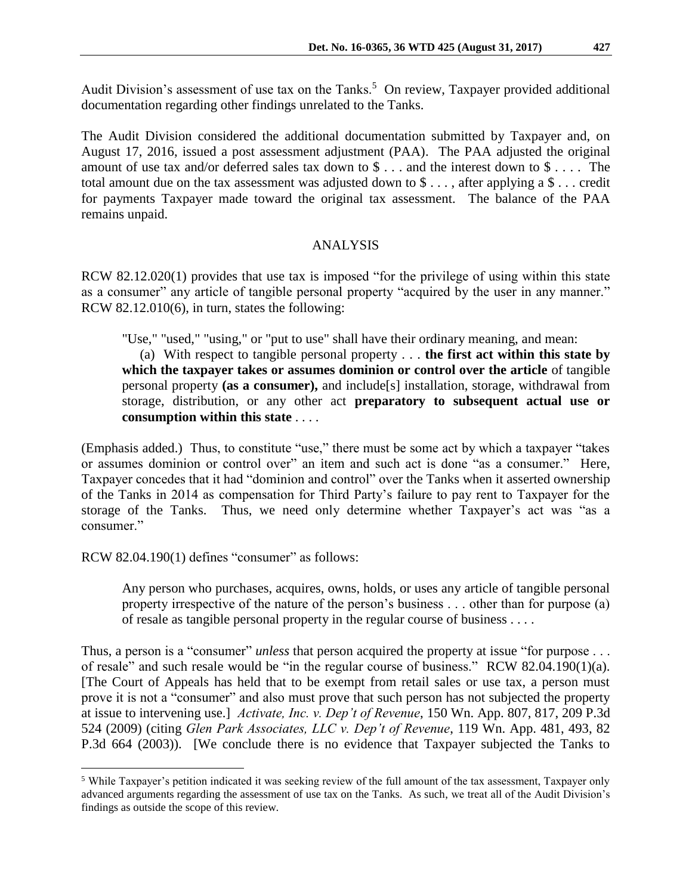Audit Division's assessment of use tax on the Tanks.<sup>5</sup> On review, Taxpayer provided additional documentation regarding other findings unrelated to the Tanks.

The Audit Division considered the additional documentation submitted by Taxpayer and, on August 17, 2016, issued a post assessment adjustment (PAA). The PAA adjusted the original amount of use tax and/or deferred sales tax down to \$ . . . and the interest down to \$ . . . . The total amount due on the tax assessment was adjusted down to \$ . . . , after applying a \$ . . . credit for payments Taxpayer made toward the original tax assessment. The balance of the PAA remains unpaid.

### ANALYSIS

RCW 82.12.020(1) provides that use tax is imposed "for the privilege of using within this state as a consumer" any article of tangible personal property "acquired by the user in any manner." RCW 82.12.010(6), in turn, states the following:

"Use," "used," "using," or "put to use" shall have their ordinary meaning, and mean:

 (a) With respect to tangible personal property . . . **the first act within this state by which the taxpayer takes or assumes dominion or control over the article** of tangible personal property **(as a consumer),** and include[s] installation, storage, withdrawal from storage, distribution, or any other act **preparatory to subsequent actual use or consumption within this state** . . . .

(Emphasis added.) Thus, to constitute "use," there must be some act by which a taxpayer "takes or assumes dominion or control over" an item and such act is done "as a consumer." Here, Taxpayer concedes that it had "dominion and control" over the Tanks when it asserted ownership of the Tanks in 2014 as compensation for Third Party's failure to pay rent to Taxpayer for the storage of the Tanks. Thus, we need only determine whether Taxpayer's act was "as a consumer."

RCW 82.04.190(1) defines "consumer" as follows:

 $\overline{a}$ 

Any person who purchases, acquires, owns, holds, or uses any article of tangible personal property irrespective of the nature of the person's business . . . other than for purpose (a) of resale as tangible personal property in the regular course of business . . . .

Thus, a person is a "consumer" *unless* that person acquired the property at issue "for purpose . . . of resale" and such resale would be "in the regular course of business." RCW 82.04.190(1)(a). [The Court of Appeals has held that to be exempt from retail sales or use tax, a person must prove it is not a "consumer" and also must prove that such person has not subjected the property at issue to intervening use.] *Activate, Inc. v. Dep't of Revenue*, 150 Wn. App. 807, 817, 209 P.3d 524 (2009) (citing *Glen Park Associates, LLC v. Dep't of Revenue*, 119 Wn. App. 481, 493, 82 P.3d 664 (2003)). [We conclude there is no evidence that Taxpayer subjected the Tanks to

<sup>5</sup> While Taxpayer's petition indicated it was seeking review of the full amount of the tax assessment, Taxpayer only advanced arguments regarding the assessment of use tax on the Tanks. As such, we treat all of the Audit Division's findings as outside the scope of this review.